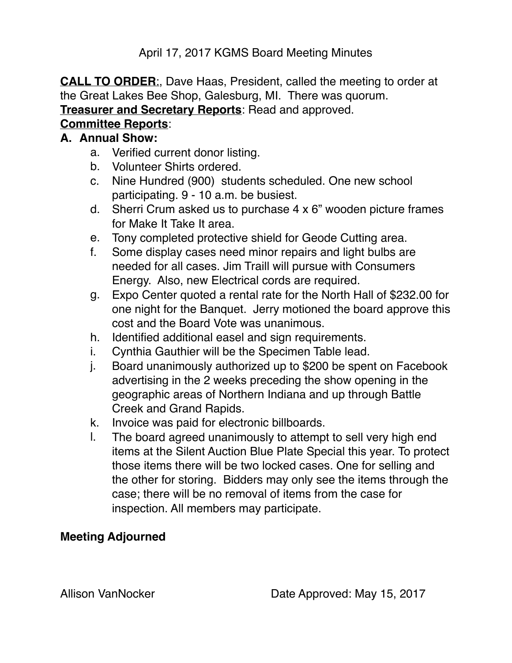April 17, 2017 KGMS Board Meeting Minutes

**CALL TO ORDER**:, Dave Haas, President, called the meeting to order at the Great Lakes Bee Shop, Galesburg, MI. There was quorum. **Treasurer and Secretary Reports**: Read and approved.

# **Committee Reports**:

### **A. Annual Show:**

- a. Verified current donor listing.
- b. Volunteer Shirts ordered.
- c. Nine Hundred (900) students scheduled. One new school participating. 9 - 10 a.m. be busiest.
- d. Sherri Crum asked us to purchase 4 x 6" wooden picture frames for Make It Take It area.
- e. Tony completed protective shield for Geode Cutting area.
- f. Some display cases need minor repairs and light bulbs are needed for all cases. Jim Traill will pursue with Consumers Energy. Also, new Electrical cords are required.
- g. Expo Center quoted a rental rate for the North Hall of \$232.00 for one night for the Banquet. Jerry motioned the board approve this cost and the Board Vote was unanimous.
- h. Identified additional easel and sign requirements.
- i. Cynthia Gauthier will be the Specimen Table lead.
- j. Board unanimously authorized up to \$200 be spent on Facebook advertising in the 2 weeks preceding the show opening in the geographic areas of Northern Indiana and up through Battle Creek and Grand Rapids.
- k. Invoice was paid for electronic billboards.
- l. The board agreed unanimously to attempt to sell very high end items at the Silent Auction Blue Plate Special this year. To protect those items there will be two locked cases. One for selling and the other for storing. Bidders may only see the items through the case; there will be no removal of items from the case for inspection. All members may participate.

## **Meeting Adjourned**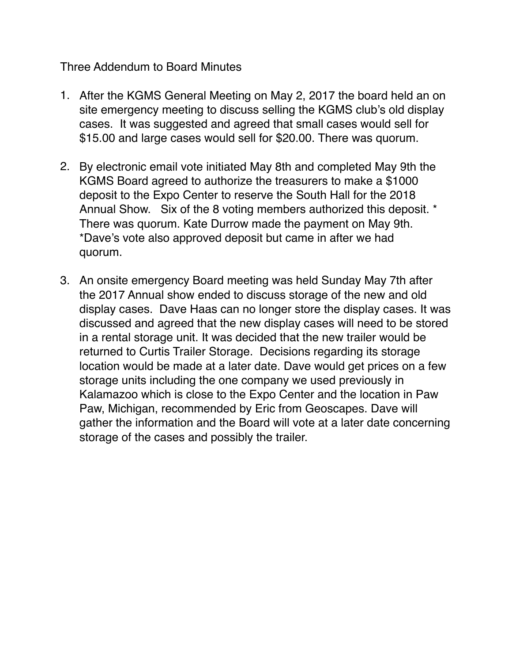#### Three Addendum to Board Minutes

- 1. After the KGMS General Meeting on May 2, 2017 the board held an on site emergency meeting to discuss selling the KGMS club's old display cases. It was suggested and agreed that small cases would sell for \$15.00 and large cases would sell for \$20.00. There was quorum.
- 2. By electronic email vote initiated May 8th and completed May 9th the KGMS Board agreed to authorize the treasurers to make a \$1000 deposit to the Expo Center to reserve the South Hall for the 2018 Annual Show. Six of the 8 voting members authorized this deposit. \* There was quorum. Kate Durrow made the payment on May 9th. \*Dave's vote also approved deposit but came in after we had quorum.
- 3. An onsite emergency Board meeting was held Sunday May 7th after the 2017 Annual show ended to discuss storage of the new and old display cases. Dave Haas can no longer store the display cases. It was discussed and agreed that the new display cases will need to be stored in a rental storage unit. It was decided that the new trailer would be returned to Curtis Trailer Storage. Decisions regarding its storage location would be made at a later date. Dave would get prices on a few storage units including the one company we used previously in Kalamazoo which is close to the Expo Center and the location in Paw Paw, Michigan, recommended by Eric from Geoscapes. Dave will gather the information and the Board will vote at a later date concerning storage of the cases and possibly the trailer.